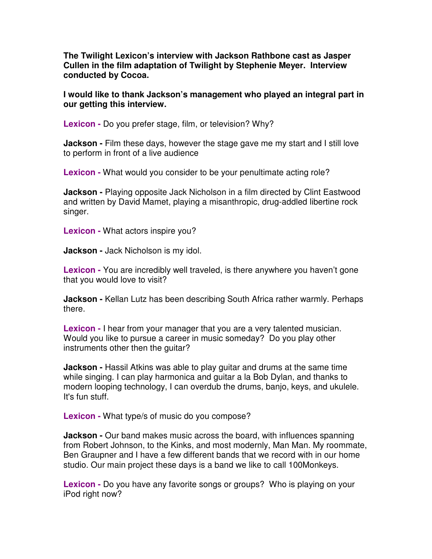**The Twilight Lexicon's interview with Jackson Rathbone cast as Jasper Cullen in the film adaptation of Twilight by Stephenie Meyer. Interview conducted by Cocoa.** 

**I would like to thank Jackson's management who played an integral part in our getting this interview.** 

**Lexicon -** Do you prefer stage, film, or television? Why?

**Jackson** - Film these days, however the stage gave me my start and I still love to perform in front of a live audience

**Lexicon -** What would you consider to be your penultimate acting role?

**Jackson -** Playing opposite Jack Nicholson in a film directed by Clint Eastwood and written by David Mamet, playing a misanthropic, drug-addled libertine rock singer.

**Lexicon -** What actors inspire you?

**Jackson -** Jack Nicholson is my idol.

**Lexicon -** You are incredibly well traveled, is there anywhere you haven't gone that you would love to visit?

**Jackson -** Kellan Lutz has been describing South Africa rather warmly. Perhaps there.

**Lexicon -** I hear from your manager that you are a very talented musician. Would you like to pursue a career in music someday? Do you play other instruments other then the guitar?

**Jackson -** Hassil Atkins was able to play guitar and drums at the same time while singing. I can play harmonica and guitar a la Bob Dylan, and thanks to modern looping technology, I can overdub the drums, banjo, keys, and ukulele. It's fun stuff.

**Lexicon -** What type/s of music do you compose?

**Jackson -** Our band makes music across the board, with influences spanning from Robert Johnson, to the Kinks, and most modernly, Man Man. My roommate, Ben Graupner and I have a few different bands that we record with in our home studio. Our main project these days is a band we like to call 100Monkeys.

**Lexicon -** Do you have any favorite songs or groups? Who is playing on your iPod right now?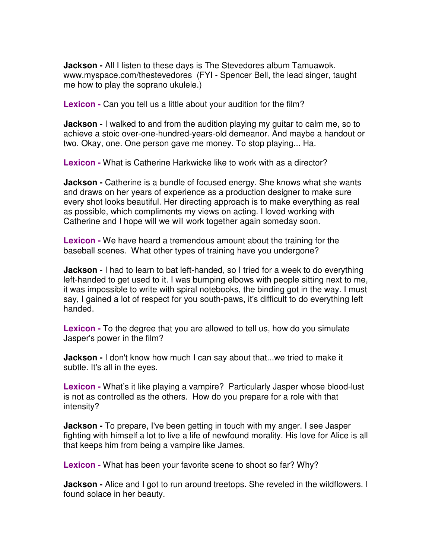**Jackson -** All I listen to these days is The Stevedores album Tamuawok. www.myspace.com/thestevedores (FYI - Spencer Bell, the lead singer, taught me how to play the soprano ukulele.)

**Lexicon -** Can you tell us a little about your audition for the film?

**Jackson** - I walked to and from the audition playing my guitar to calm me, so to achieve a stoic over-one-hundred-years-old demeanor. And maybe a handout or two. Okay, one. One person gave me money. To stop playing... Ha.

**Lexicon -** What is Catherine Harkwicke like to work with as a director?

**Jackson -** Catherine is a bundle of focused energy. She knows what she wants and draws on her years of experience as a production designer to make sure every shot looks beautiful. Her directing approach is to make everything as real as possible, which compliments my views on acting. I loved working with Catherine and I hope will we will work together again someday soon.

**Lexicon -** We have heard a tremendous amount about the training for the baseball scenes. What other types of training have you undergone?

**Jackson -** I had to learn to bat left-handed, so I tried for a week to do everything left-handed to get used to it. I was bumping elbows with people sitting next to me, it was impossible to write with spiral notebooks, the binding got in the way. I must say, I gained a lot of respect for you south-paws, it's difficult to do everything left handed.

**Lexicon -** To the degree that you are allowed to tell us, how do you simulate Jasper's power in the film?

**Jackson -** I don't know how much I can say about that...we tried to make it subtle. It's all in the eyes.

**Lexicon -** What's it like playing a vampire? Particularly Jasper whose blood-lust is not as controlled as the others. How do you prepare for a role with that intensity?

**Jackson -** To prepare, I've been getting in touch with my anger. I see Jasper fighting with himself a lot to live a life of newfound morality. His love for Alice is all that keeps him from being a vampire like James.

**Lexicon -** What has been your favorite scene to shoot so far? Why?

**Jackson -** Alice and I got to run around treetops. She reveled in the wildflowers. I found solace in her beauty.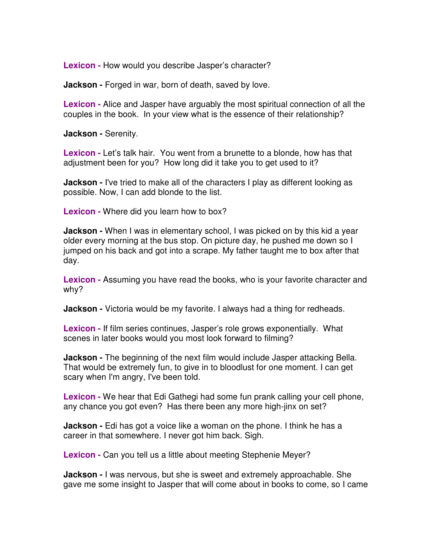**Lexicon -** How would you describe Jasper's character?

**Jackson -** Forged in war, born of death, saved by love.

**Lexicon -** Alice and Jasper have arguably the most spiritual connection of all the couples in the book. In your view what is the essence of their relationship?

**Jackson -** Serenity.

**Lexicon -** Let's talk hair. You went from a brunette to a blonde, how has that adjustment been for you? How long did it take you to get used to it?

**Jackson** - I've tried to make all of the characters I play as different looking as possible. Now, I can add blonde to the list.

**Lexicon -** Where did you learn how to box?

**Jackson -** When I was in elementary school, I was picked on by this kid a year older every morning at the bus stop. On picture day, he pushed me down so I jumped on his back and got into a scrape. My father taught me to box after that day.

**Lexicon -** Assuming you have read the books, who is your favorite character and why?

**Jackson -** Victoria would be my favorite. I always had a thing for redheads.

**Lexicon -** If film series continues, Jasper's role grows exponentially. What scenes in later books would you most look forward to filming?

**Jackson -** The beginning of the next film would include Jasper attacking Bella. That would be extremely fun, to give in to bloodlust for one moment. I can get scary when I'm angry, I've been told.

**Lexicon -** We hear that Edi Gathegi had some fun prank calling your cell phone, any chance you got even? Has there been any more high-jinx on set?

**Jackson -** Edi has got a voice like a woman on the phone. I think he has a career in that somewhere. I never got him back. Sigh.

**Lexicon -** Can you tell us a little about meeting Stephenie Meyer?

**Jackson -** I was nervous, but she is sweet and extremely approachable. She gave me some insight to Jasper that will come about in books to come, so I came